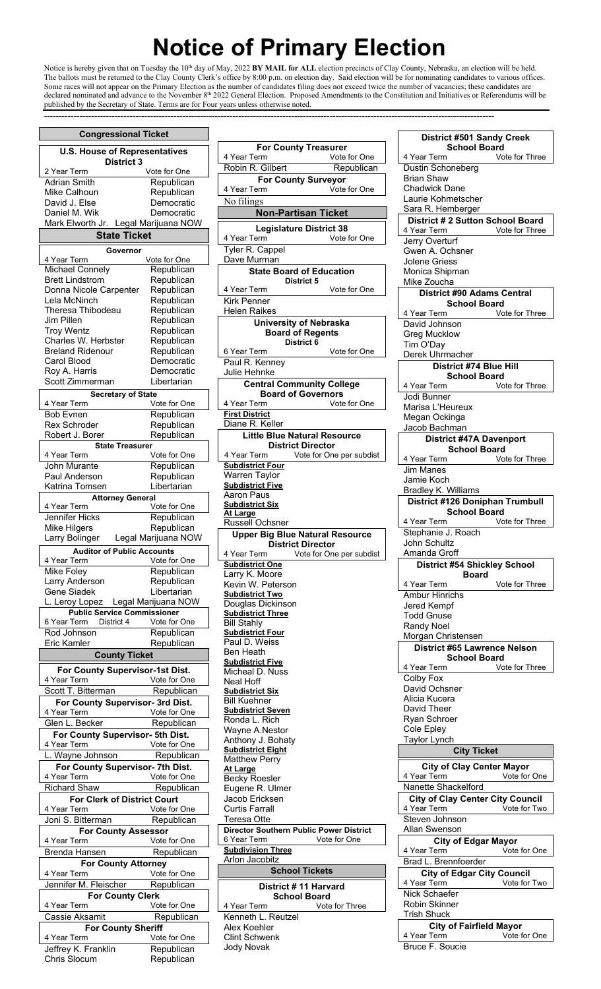## **Notice of Primary Election**

Notice is hereby given that on Tuesday the 10<sup>th</sup> day of May, 2022 BY MAIL for ALL election precincts of Clay County, Nebraska, an election will be held. The ballots must be returned to the Clay County Clerk's office by 8:00 p.m. on election day. Said election will be for nominating candidates to various offices. Some races will not appear on the Primary Election as the number of candidates filing does not exceed twice the number of vacancies; these candidates are declared nominated and advance to the November 8<sup>th</sup> 2022 General Election. Proposed Amendments to the Constitution and Initiatives or Referendums will be published by the Secretary of State. Terms are for Four years unless otherwise noted.

---------------------------------------------------------------------------------------------------------------------------------------------------------

|                                                | <b>∪ongressionai ⊺icket</b> |
|------------------------------------------------|-----------------------------|
| <b>U.S. House of Representatives</b>           |                             |
| <b>District 3</b>                              |                             |
| 2 Year Term                                    | Vote for One                |
|                                                |                             |
| <b>Adrian Smith</b>                            | Republican                  |
| Mike Calhoun                                   | Republican                  |
| David J. Else                                  | Democratic                  |
| Daniel M. Wik                                  | Democratic                  |
| Mark Elworth Jr. Legal Marijuana NOW           |                             |
| <b>State Ticket</b>                            |                             |
|                                                |                             |
| Governor                                       |                             |
| 4 Year Term                                    | Vote for One                |
| <b>Michael Connely</b>                         | Republican                  |
| <b>Brett Lindstrom</b>                         | Republican                  |
| Donna Nicole Carpenter                         | Republican                  |
| Lela McNinch                                   | Republican                  |
| Theresa Thibodeau                              | Republican                  |
| Jim Pillen                                     | Republican                  |
| <b>Troy Wentz</b>                              | Republican                  |
| Charles W. Herbster                            | Republican                  |
| <b>Breland Ridenour</b>                        | Republican                  |
|                                                |                             |
| Carol Blood                                    | Democratic                  |
| Roy A. Harris                                  | Democratic                  |
| Scott Zimmerman                                | Libertarian                 |
| <b>Secretary of State</b>                      |                             |
| 4 Year Term                                    | Vote for One                |
| <b>Bob Evnen</b>                               | Republican                  |
| <b>Rex Schroder</b>                            | Republican                  |
|                                                |                             |
| Robert J. Borer                                | Republican                  |
| <b>State Treasurer</b>                         |                             |
| 4 Year Term                                    | Vote for One                |
| John Murante                                   | Republican                  |
| Paul Anderson                                  | Republican                  |
| Katrina Tomsen                                 | Libertarian                 |
| <b>Attorney General</b>                        |                             |
|                                                |                             |
| 4 Year Term                                    | Vote for One                |
| Jennifer Hicks                                 | Republican                  |
| Mike Hilgers                                   | Republican                  |
| Larry Bolinger                                 | Legal Marijuana NOW         |
| <b>Auditor of Public Accounts</b>              |                             |
| 4 Year Term                                    | Vote for One                |
| Mike Foley                                     | Republican                  |
|                                                |                             |
| Larry Anderson                                 | Republican                  |
| Gene Siadek                                    | Libertarian                 |
| L. Leroy Lopez Legal Marijuana NOW             |                             |
| <b>Public Service Commissioner</b>             |                             |
| District 4<br>6 Year Term                      | Vote for One                |
| Rod Johnson                                    | Republican                  |
| Eric Kamler                                    | Republican                  |
| <b>County Ticket</b>                           |                             |
|                                                |                             |
|                                                |                             |
|                                                |                             |
| For County Supervisor-1st Dist.<br>4 Year Term | Vote for One                |
|                                                |                             |
| Scott T. Bitterman                             | Republican                  |
| For County Supervisor- 3rd Dist.               |                             |
| 4 Year Term                                    | Vote for One                |
| Glen L. Becker                                 | Republican                  |
| For County Supervisor- 5th Dist.               |                             |
| 4 Year Term                                    | Vote for One                |
| L. Wayne Johnson                               | Republican                  |
|                                                |                             |
| For County Supervisor- 7th Dist.               |                             |
| 4 Year Term                                    | Vote for One                |
| <b>Richard Shaw</b>                            | Republican                  |
| <b>For Clerk of District Court</b>             |                             |
| 4 Year Term                                    | Vote for One                |
| Joni S. Bitterman                              | Republican                  |
|                                                |                             |
| <b>For County Assessor</b>                     |                             |
| 4 Year Term                                    | Vote for One                |
| Brenda Hansen                                  | Republican                  |
| <b>For County Attorney</b>                     |                             |
| 4 Year Term                                    | Vote for One                |
| Jennifer M. Fleischer                          | Republican                  |
|                                                |                             |
| <b>For County Clerk</b><br>4 Year Term         | Vote for One                |
|                                                |                             |
| Cassie Aksamit                                 | Republican                  |
| <b>For County Sheriff</b>                      |                             |
| 4 Year Term                                    | Vote for One                |
| Jeffrey K. Franklin<br><b>Chris Slocum</b>     | Republican<br>Republican    |

**Congressional Ticket** 

**For County Treasurer**<br><sup>4</sup> Year Term Vote Vote for One Robin R. Gilbert Republican **For County Surveyor**  4 Year Term Vote for One No filings **Non-Partisan Ticket Legislature District 38**  4 Year Term Vote for One Tyler R. Cappel Dave Murman **State Board of Education District 5**  4 Year Term Vote for One Kirk Penner Helen Raikes **University of Nebraska Board of Regents District 6**  6 Year Term Vote for One Paul R. Kenney Julie Hehnke **Central Community College Board of Governors**<br><sup>4</sup> Year Term Vote Vote for One **First District**  Diane R. Keller **Little Blue Natural Resource District Director**<br>I Year Term Vote for One Vote for One per subdist **Subdistrict Four**  Warren Taylor **Subdistrict Five**  Aaron Paus **Subdistrict Six At Large**  Russell Ochsner **Upper Big Blue Natural Resource District Director**<br>I Year Term Vote for One Vote for One per subdist **Subdistrict One**  Larry K. Moore Kevin W. Peterson **Subdistrict Two**  Douglas Dickinson **Subdistrict Three**  Bill Stahly **Subdistrict Four**  Paul D. Weiss Ben Heath **Subdistrict Five**  Micheal D. Nuss Neal Hoff **Subdistrict Six**  Bill Kuehner **Subdistrict Seven**  Ronda L. Rich Wayne A.Nestor Anthony J. Bohaty **Subdistrict Eight**  Matthew Perry **At Large**  Becky Roesler Eugene R. Ulmer Jacob Ericksen Curtis Farrall Teresa Otte **Director Southern Public Power District**<br>6 Year Term **Vote for One** 6 Year Term **Subdivision Three**  Arlon Jacobitz **School Tickets District # 11 Harvard School Board**  4 Year Term Vote for Three Kenneth L. Reutzel Alex Koehler Clint Schwenk Jody Novak

**District #501 Sandy Creek School Board**<br>4 Year Term Vo Vote for Three Dustin Schoneberg Brian Shaw Chadwick Dane Laurie Kohmetscher Sara R. Hemberger **District # 2 Sutton School Board**  Vote for Three Jerry Overturf Gwen A. Ochsner Jolene Griess Monica Shipman Mike Zoucha **District #90 Adams Central School Board**<br>4 Year Term Vo Vote for Three David Johnson Greg Mucklow Tim O'Day Derek Uhrmacher **District #74 Blue Hill School Board**<br>4 Year Term Vo Vote for Three Jodi Bunner Marisa L'Heureux Megan Ockinga Jacob Bachman **District #47A Davenport School Board**<br>Vote for Three 4 Year Term Jim Manes Jamie Koch Bradley K. Williams **District #126 Doniphan Trumbull School Board**<br>۷o ۷ Year Term Vote for Three Stephanie J. Roach John Schultz Amanda Groff **District #54 Shickley School Board**  4 Year Term Vote for Three Ambur Hinrichs Jered Kempf Todd Gnuse Randy Noel Morgan Christensen **District #65 Lawrence Nelson School Board**<br>4 Year Term Vo Vote for Three Colby Fox David Ochsner Alicia Kucera David Theer Ryan Schroer Cole Epley Taylor Lynch **City Ticket City of Clay Center Mayor**  4 Year Term Nanette Shackelford **City of Clay Center City Council**  4 Year Term Vote for Two Steven Johnson Allan Swenson **City of Edgar Mayor**  4 Year Term Brad L. Brennfoerder **City of Edgar City Council**  4 Year Term Vote for Two Nick Schaefer Robin Skinner Trish Shuck **City of Fairfield Mayor**  4 Year Term Vote for One Bruce F. Soucie